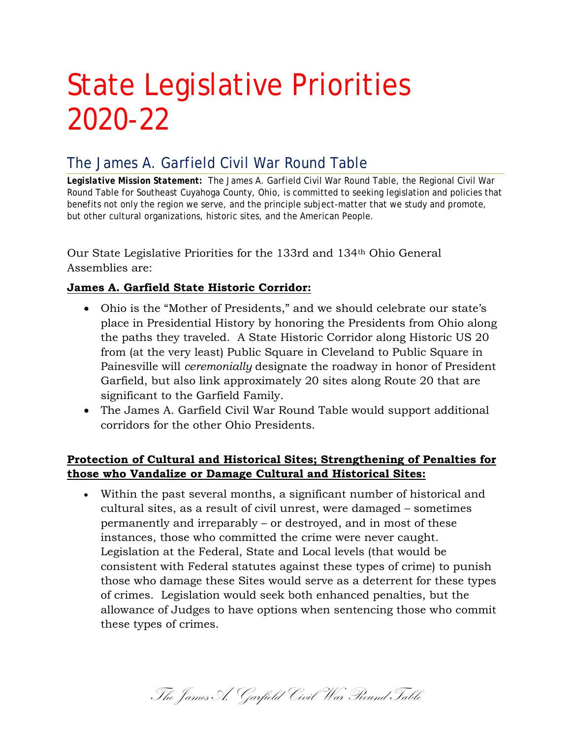# State Legislative Priorities 2020-22

# The James A. Garfield Civil War Round Table

*Legislative Mission Statement:* The James A. Garfield Civil War Round Table, the Regional Civil War Round Table for Southeast Cuyahoga County, Ohio, is committed to seeking legislation and policies that benefits not only the region we serve, and the principle subject-matter that we study and promote, but other cultural organizations, historic sites, and the American People.

Our State Legislative Priorities for the 133rd and 134th Ohio General Assemblies are:

# **James A. Garfield State Historic Corridor:**

- Ohio is the "Mother of Presidents," and we should celebrate our state's place in Presidential History by honoring the Presidents from Ohio along the paths they traveled. A State Historic Corridor along Historic US 20 from (at the very least) Public Square in Cleveland to Public Square in Painesville will *ceremonially* designate the roadway in honor of President Garfield, but also link approximately 20 sites along Route 20 that are significant to the Garfield Family.
- The James A. Garfield Civil War Round Table would support additional corridors for the other Ohio Presidents.

# **Protection of Cultural and Historical Sites; Strengthening of Penalties for those who Vandalize or Damage Cultural and Historical Sites:**

• Within the past several months, a significant number of historical and cultural sites, as a result of civil unrest, were damaged – sometimes permanently and irreparably – or destroyed, and in most of these instances, those who committed the crime were never caught. Legislation at the Federal, State and Local levels (that would be consistent with Federal statutes against these types of crime) to punish those who damage these Sites would serve as a deterrent for these types of crimes. Legislation would seek both enhanced penalties, but the allowance of Judges to have options when sentencing those who commit these types of crimes.

The James A. Garfield Civil War Round Table